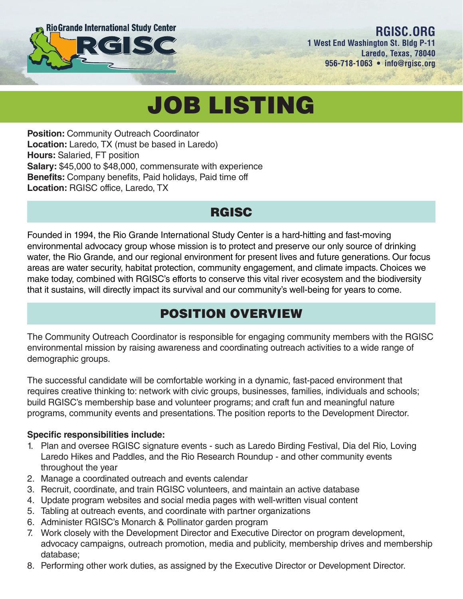

#### **RGISC.ORG 1 West End Washington St. Bldg P-11 Laredo, Texas, 78040 956-718-1063 • info@rgisc.org**

# JOB LISTING

**Position: Community Outreach Coordinator Location:** Laredo, TX (must be based in Laredo) **Hours:** Salaried, FT position **Salary:** \$45,000 to \$48,000, commensurate with experience **Benefits:** Company benefits, Paid holidays, Paid time off **Location:** RGISC office, Laredo, TX

### **RGISC**

Founded in 1994, the Rio Grande International Study Center is a hard-hitting and fast-moving environmental advocacy group whose mission is to protect and preserve our only source of drinking water, the Rio Grande, and our regional environment for present lives and future generations. Our focus areas are water security, habitat protection, community engagement, and climate impacts. Choices we make today, combined with RGISC's efforts to conserve this vital river ecosystem and the biodiversity that it sustains, will directly impact its survival and our community's well-being for years to come.

# POSITION OVERVIEW

The Community Outreach Coordinator is responsible for engaging community members with the RGISC environmental mission by raising awareness and coordinating outreach activities to a wide range of demographic groups.

The successful candidate will be comfortable working in a dynamic, fast-paced environment that requires creative thinking to: network with civic groups, businesses, families, individuals and schools; build RGISC's membership base and volunteer programs; and craft fun and meaningful nature programs, community events and presentations. The position reports to the Development Director.

#### **Specific responsibilities include:**

- 1. Plan and oversee RGISC signature events such as Laredo Birding Festival, Dia del Rio, Loving Laredo Hikes and Paddles, and the Rio Research Roundup - and other community events throughout the year
- 2. Manage a coordinated outreach and events calendar
- 3. Recruit, coordinate, and train RGISC volunteers, and maintain an active database
- 4. Update program websites and social media pages with well-written visual content
- 5. Tabling at outreach events, and coordinate with partner organizations
- 6. Administer RGISC's Monarch & Pollinator garden program
- 7. Work closely with the Development Director and Executive Director on program development, advocacy campaigns, outreach promotion, media and publicity, membership drives and membership database;
- 8. Performing other work duties, as assigned by the Executive Director or Development Director.